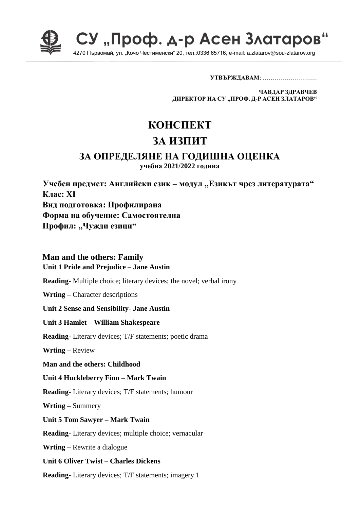

СУ "Проф. д-р Асен Златаров

4270 Първомай, ул. "Кочо Честименски" 20, тел.:0336 65716, e-mail: a.zlatarov@sou-zlatarov.org

**УТВЪРЖДАВАМ**: ………………………

**ЧАВДАР ЗДРАВЧЕВ ДИРЕКТОР НА СУ "ПРОФ. Д-Р АСЕН ЗЛАТАРОВ"**

# **КОНСПЕКТ**

# **ЗА ИЗПИТ**

# **ЗА ОПРЕДЕЛЯНЕ НА ГОДИШНА ОЦЕНКА**

**учебна 2021/2022 година**

**Учебен предмет: Английски език – модул "Езикът чрез литературата" Клас: XI Вид подготовка: Профилирана Форма на обучение: Самостоятелна** Профил: "Чужди езици"

## **Man and the others: Family Unit 1 Pride and Prejudice – Jane Austin**

**Reading-** Multiple choice; literary devices; the novel; verbal irony

**Wrting –** Character descriptions

**Unit 2 Sense and Sensibility- Jane Austin**

**Unit 3 Hamlet – William Shakespeare**

**Reading-** Literary devices; T/F statements; poetic drama

**Wrting –** Review

**Man and the others: Childhood**

**Unit 4 Huckleberry Finn – Mark Twain**

**Reading-** Literary devices; T/F statements; humour

**Wrting –** Summery

**Unit 5 Tom Sawyer – Mark Twain**

**Reading-** Literary devices; multiple choice; vernacular

**Wrting –** Rewrite a dialogue

**Unit 6 Oliver Twist – Charles Dickens** 

**Reading-** Literary devices; T/F statements; imagery 1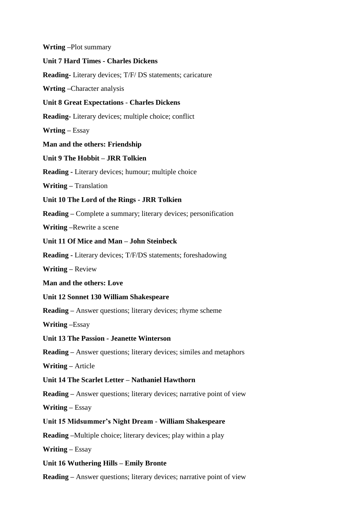**Wrting –**Plot summary **Unit 7 Hard Times - Charles Dickens Reading-** Literary devices; T/F/ DS statements; caricature **Wrting –**Character analysis **Unit 8 Great Expectations** - **Charles Dickens Reading-** Literary devices; multiple choice; conflict **Wrting –** Essay **Man and the others: Friendship Unit 9 The Hobbit – JRR Tolkien Reading -** Literary devices; humour; multiple choice **Writing –** Translation **Unit 10 The Lord of the Rings - JRR Tolkien Reading –** Complete a summary; literary devices; personification **Writing –**Rewrite a scene **Unit 11 Of Mice and Man – John Steinbeck Reading -** Literary devices; T/F/DS statements; foreshadowing **Writing –** Review **Man and the others: Love Unit 12 Sonnet 130 William Shakespeare Reading –** Answer questions; literary devices; rhyme scheme **Writing –**Essay **Unit 13 The Passion - Jeanette Winterson Reading –** Answer questions; literary devices; similes and metaphors **Writing –** Article **Unit 14 The Scarlet Letter – Nathaniel Hawthorn Reading –** Answer questions; literary devices; narrative point of view **Writing –** Essay **Unit 15 Midsummer's Night Dream** - **William Shakespeare Reading –**Multiple choice; literary devices; play within a play **Writing –** Essay **Unit 16 Wuthering Hills – Emily Bronte Reading –** Answer questions; literary devices; narrative point of view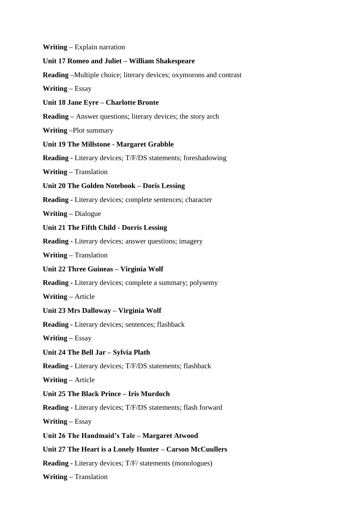#### **Writing –** Explain narration

#### **Unit 17 Romeo and Juliet – William Shakespeare**

**Reading –**Multiple choice; literary devices; oxymorons and contrast

**Writing –** Essay

**Unit 18 Jane Eyre – Charlotte Bronte**

**Reading –** Answer questions; literary devices; the story arch

**Writing –**Plot summary

#### **Unit 19 The Millstone - Margaret Grabble**

**Reading -** Literary devices; T/F/DS statements; foreshadowing

**Writing –** Translation

**Unit 20 The Golden Notebook – Doris Lessing**

**Reading -** Literary devices; complete sentences; character

**Writing –** Dialogue

- **Unit 21 The Fifth Child - Dorris Lessing**
- **Reading -** Literary devices; answer questions; imagery

**Writing –** Translation

**Unit 22 Three Guineas – Virginia Wolf**

**Reading -** Literary devices; complete a summary; polysemy

**Writing –** Article

#### **Unit 23 Mrs Dalloway – Virginia Wolf**

**Reading -** Literary devices; sentences; flashback

**Writing –** Essay

**Unit 24 The Bell Jar – Sylvia Plath**

**Reading -** Literary devices; T/F/DS statements; flashback

**Writing –** Article

#### **Unit 25 The Black Prince – Iris Murdoch**

**Reading -** Literary devices; T/F/DS statements; flash forward

**Writing –** Essay

#### **Unit 26 The Handmaid's Tale – Margaret Atwood**

## **Unit 27 The Heart is a Lonely Hunter – Carson McCuullers**

**Reading -** Literary devices; T/F/ statements (monologues)

**Writing –** Translation